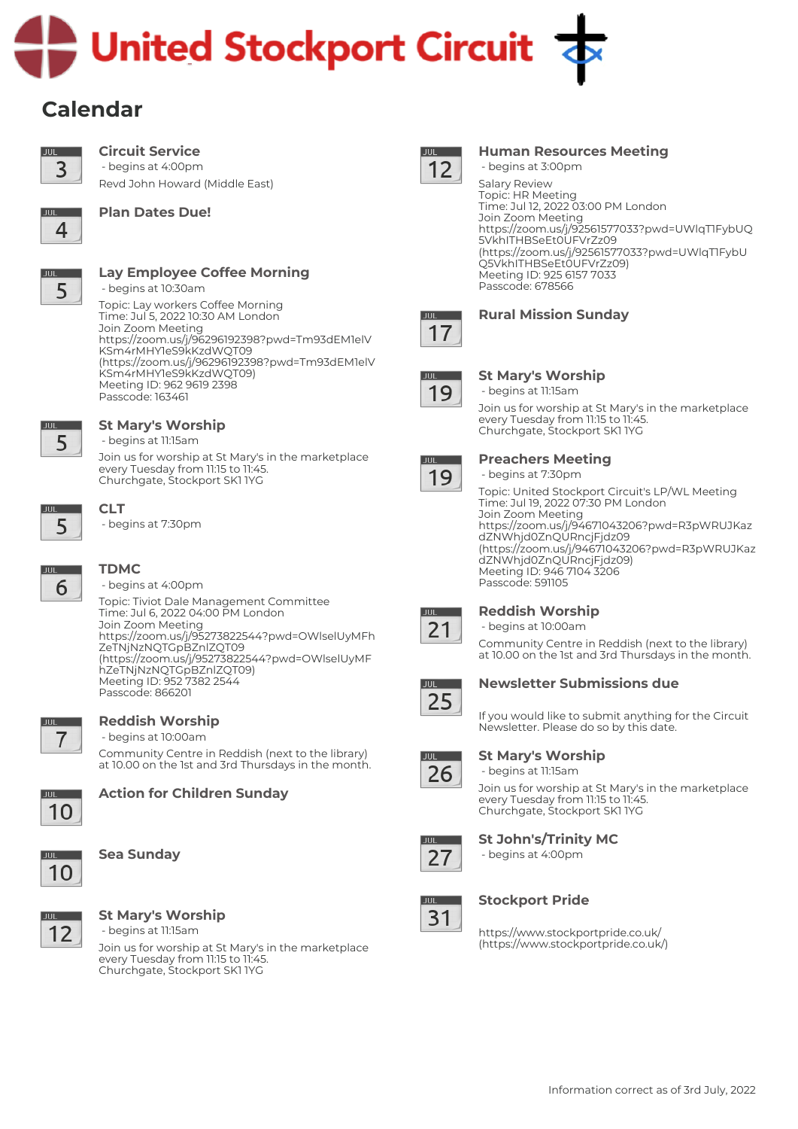# **Jnited Stockport Circuit**

# **Calendar**



**JUI** 4

#### **Circuit Service**

**Plan Dates Due!**

- begins at 10:30am

Join Zoom Meeting

 - begins at 4:00pm Revd John Howard (Middle East)

Topic: Lay workers Coffee Morning Time: Jul 5, 2022 10:30 AM London

KSm4rMHY1eS9kKzdWQT09

KSm4rMHY1eS9kKzdWQT09) Meeting ID: 962 9619 2398 Passcode: 163461



#### **Human Resources Meeting**

- begins at 3:00pm

Salary Review Topic: HR Meeting Time: Jul 12, 2022 03:00 PM London Join Zoom Meeting https://zoom.us/j/92561577033?pwd=UWlqT1FybUQ 5VkhITHBSeEt0UFVrZz09 (https://zoom.us/j/92561577033?pwd=UWlqT1FybU Q5VkhITHBSeEtOUFVrZz09) Meeting ID: 925 6157 7033 Passcode: 678566



#### **Rural Mission Sunday**



#### **St Mary's Worship**

 - begins at 11:15am Join us for worship at St Mary's in the marketplace every Tuesday from 11:15 to 11:45. Churchgate, Stockport SK1 1YG



#### **Preachers Meeting** - begins at 7:30pm

Topic: United Stockport Circuit's LP/WL Meeting Time: Jul 19, 2022 07:30 PM London Join Zoom Meeting https://zoom.us/j/94671043206?pwd=R3pWRUJKaz dZNWhjd0ZnQURncjFjdz09 (https://zoom.us/j/94671043206?pwd=R3pWRUJKaz dZNWhjd0ZnQURncjFjdz09) Meeting ID: 946 7104 3206 Passcode: 591105



#### **Reddish Worship**

- begins at 10:00am

Community Centre in Reddish (next to the library) at 10.00 on the 1st and 3rd Thursdays in the month.



#### **Newsletter Submissions due**

If you would like to submit anything for the Circuit Newsletter. Please do so by this date.



#### **St Mary's Worship**

- begins at 11:15am

Join us for worship at St Mary's in the marketplace every Tuesday from 11:15 to 11:45. Churchgate, Stockport SK1 1YG



### **St John's/Trinity MC**

- begins at 4:00pm



#### **Stockport Pride**

https://www.stockportpride.co.uk/ (https://www.stockportpride.co.uk/)



#### **St Mary's Worship**

 - begins at 11:15am Join us for worship at St Mary's in the marketplace every Tuesday from 11:15 to 11:45.

https://zoom.us/j/96296192398?pwd=Tm93dEM1elV

(https://zoom.us/j/96296192398?pwd=Tm93dEM1elV



#### - begins at 7:30pm



Topic: Tiviot Dale Management Committee Time: Jul 6, 2022 04:00 PM London Join Zoom Meeting https://zoom.us/j/95273822544?pwd=OWlselUyMFh ZeTNjNzNQTGpBZnlZQT09 (https://zoom.us/j/95273822544?pwd=OWlselUyMF hZeTNjNzNQTGpBZnlZQT09) Meeting ID: 952 7382 2544 Passcode: 866201



#### **Reddish Worship**

at 10.00 on the 1st and 3rd Thursdays in the month.



#### **Action for Children Sunday**



#### **Sea Sunday**



- begins at 11:15am

Join us for worship at St Mary's in the marketplace every Tuesday from 11:15 to 11:45. Churchgate, Stockport SK1 1YG



 - begins at 10:00am Community Centre in Reddish (next to the library)









**JUI** 

**TDMC** - begins at 4:00pm

Churchgate, Stockport SK1 1YG **CLT**



**Lay Employee Coffee Morning**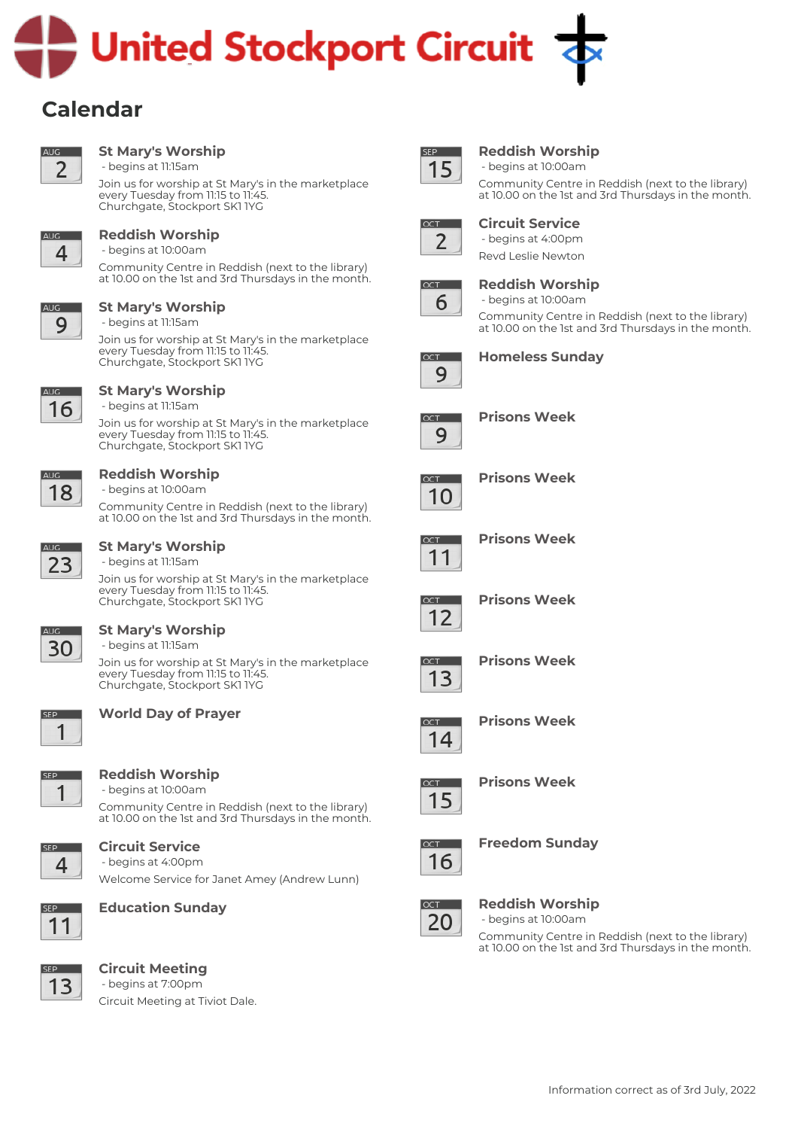# **Jnited Stockport Circuit**

# **Calendar**



#### **St Mary's Worship** - begins at 11:15am

Join us for worship at St Mary's in the marketplace every Tuesday from 11:15 to 11:45. Churchgate, Stockport SK1 1YG



#### **Reddish Worship** - begins at 10:00am

Community Centre in Reddish (next to the library) at 10.00 on the 1st and 3rd Thursdays in the month.



#### **St Mary's Worship**

- begins at 11:15am

Join us for worship at St Mary's in the marketplace every Tuesday from 11:15 to 11:45. Churchgate, Stockport SK1 1YG



**AUG** 18

#### **St Mary's Worship** - begins at 11:15am

Join us for worship at St Mary's in the marketplace every Tuesday from 11:15 to 11:45. Churchgate, Stockport SK1 1YG

#### **Reddish Worship**

 - begins at 10:00am Community Centre in Reddish (next to the library) at 10.00 on the 1st and 3rd Thursdays in the month.



# **St Mary's Worship**

- begins at 11:15am

Join us for worship at St Mary's in the marketplace every Tuesday from 11:15 to 11:45. Churchgate, Stockport SK1 1YG



#### **St Mary's Worship**

- begins at 11:15am

Join us for worship at St Mary's in the marketplace every Tuesday from 11:15 to 11:45. Churchgate, Stockport SK1 1YG



#### **World Day of Prayer**



#### **Reddish Worship**

 - begins at 10:00am Community Centre in Reddish (next to the library) at 10.00 on the 1st and 3rd Thursdays in the month.



# **Circuit Service**

 - begins at 4:00pm Welcome Service for Janet Amey (Andrew Lunn)

SEP 11

SEP

#### **Education Sunday**

# 13

### **Circuit Meeting**

 - begins at 7:00pm Circuit Meeting at Tiviot Dale.



# **Reddish Worship**

- begins at 10:00am

Community Centre in Reddish (next to the library) at 10.00 on the 1st and 3rd Thursdays in the month.



#### **Circuit Service** - begins at 4:00pm

Revd Leslie Newton



#### **Reddish Worship** - begins at 10:00am

Community Centre in Reddish (next to the library) at 10.00 on the 1st and 3rd Thursdays in the month.



#### **Homeless Sunday**



# **Prisons Week**



**Prisons Week**



**Prisons Week**











**Prisons Week**



13



**Prisons Week**



### **Prisons Week**



**Freedom Sunday**



#### **Reddish Worship** - begins at 10:00am

Community Centre in Reddish (next to the library) at 10.00 on the 1st and 3rd Thursdays in the month.